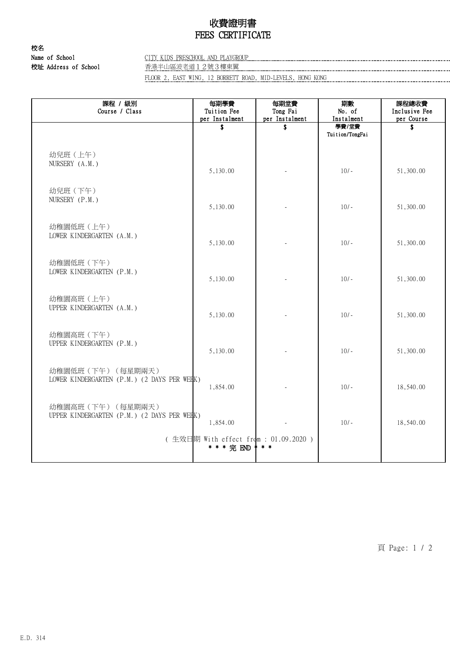## 收費證明書 FEES CERTIFICATE

校名 校址 Address of School 香港半山區波老道12號3樓東翼

Name of School CITY KIDS PRESCHOOL AND PLAYGROUP

FLOOR 2, EAST WING, 12 BORRETT ROAD, MID-LEVELS, HONG KONG

| 課程 / 級別<br>Course / Class                                         | 每期學費<br>Tuition Fee<br>per Instalment               | 每期堂費<br>Tong Fai<br>per Instalment | 期數<br>No. of<br>Instalment | 課程總收費<br>Inclusive Fee<br>per Course |
|-------------------------------------------------------------------|-----------------------------------------------------|------------------------------------|----------------------------|--------------------------------------|
|                                                                   | \$                                                  | \$                                 | 學費/堂費<br>Tuition/TongFai   | Ŝ.                                   |
| 幼兒班 (上午)<br>NURSERY (A.M.)                                        | 5,130.00                                            |                                    | $10/-$                     | 51,300.00                            |
| 幼兒班 (下午)<br>NURSERY (P.M.)                                        | 5,130.00                                            |                                    | $10/-$                     | 51,300.00                            |
| 幼稚園低班 (上午)<br>LOWER KINDERGARTEN (A.M.)                           | 5,130.00                                            |                                    | $10/-$                     | 51,300.00                            |
| 幼稚園低班 (下午)<br>LOWER KINDERGARTEN (P.M.)                           | 5,130.00                                            |                                    | $10/-$                     | 51,300.00                            |
| 幼稚園高班 (上午)<br>UPPER KINDERGARTEN (A.M.)                           | 5,130.00                                            |                                    | $10/-$                     | 51,300.00                            |
| 幼稚園高班 (下午)<br>UPPER KINDERGARTEN (P.M.)                           | 5,130.00                                            |                                    | $10/-$                     | 51,300.00                            |
| 幼稚園低班 (下午) (每星期兩天)<br>LOWER KINDERGARTEN (P.M.) (2 DAYS PER WEEK) | 1,854.00                                            |                                    | $10/-$                     | 18,540.00                            |
| 幼稚園高班 (下午) (每星期兩天)<br>UPPER KINDERGARTEN (P.M.) (2 DAYS PER WEHK) | 1,854.00                                            |                                    | $10/-$                     | 18,540.00                            |
|                                                                   | (生效日期 With effect from : 01.09.2020)<br>* * * 完 END | $*$ *                              |                            |                                      |

頁 Page: 1 / 2